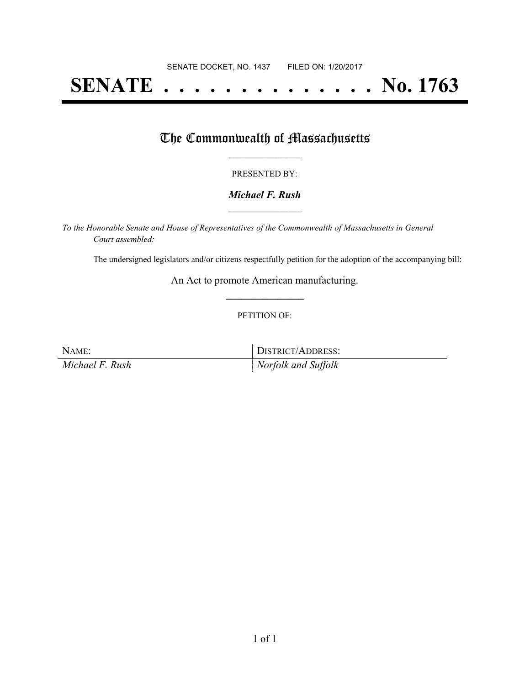# **SENATE . . . . . . . . . . . . . . No. 1763**

### The Commonwealth of Massachusetts

#### PRESENTED BY:

#### *Michael F. Rush* **\_\_\_\_\_\_\_\_\_\_\_\_\_\_\_\_\_**

*To the Honorable Senate and House of Representatives of the Commonwealth of Massachusetts in General Court assembled:*

The undersigned legislators and/or citizens respectfully petition for the adoption of the accompanying bill:

An Act to promote American manufacturing. **\_\_\_\_\_\_\_\_\_\_\_\_\_\_\_**

#### PETITION OF:

NAME: DISTRICT/ADDRESS:

*Michael F. Rush Norfolk and Suffolk*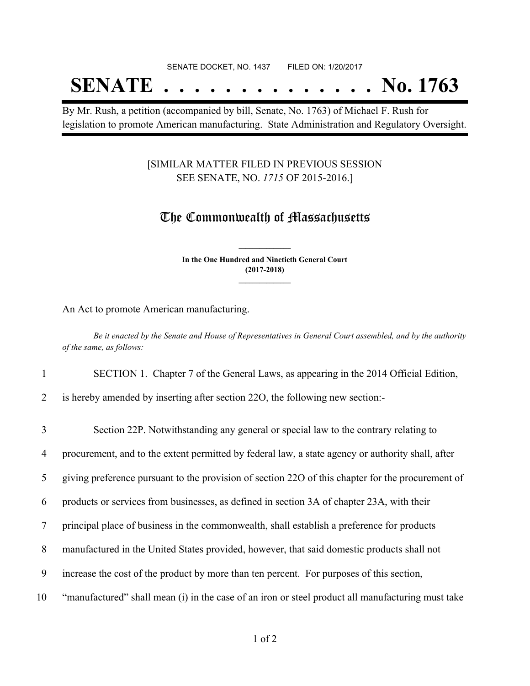SENATE DOCKET, NO. 1437 FILED ON: 1/20/2017

# **SENATE . . . . . . . . . . . . . . No. 1763**

By Mr. Rush, a petition (accompanied by bill, Senate, No. 1763) of Michael F. Rush for legislation to promote American manufacturing. State Administration and Regulatory Oversight.

### [SIMILAR MATTER FILED IN PREVIOUS SESSION SEE SENATE, NO. *1715* OF 2015-2016.]

## The Commonwealth of Massachusetts

**In the One Hundred and Ninetieth General Court (2017-2018) \_\_\_\_\_\_\_\_\_\_\_\_\_\_\_**

**\_\_\_\_\_\_\_\_\_\_\_\_\_\_\_**

An Act to promote American manufacturing.

Be it enacted by the Senate and House of Representatives in General Court assembled, and by the authority *of the same, as follows:*

#### 1 SECTION 1. Chapter 7 of the General Laws, as appearing in the 2014 Official Edition,

2 is hereby amended by inserting after section 22O, the following new section:-

| 3           | Section 22P. Notwithstanding any general or special law to the contrary relating to               |
|-------------|---------------------------------------------------------------------------------------------------|
| 4           | procurement, and to the extent permitted by federal law, a state agency or authority shall, after |
| $5^{\circ}$ | giving preference pursuant to the provision of section 22O of this chapter for the procurement of |
| 6           | products or services from businesses, as defined in section 3A of chapter 23A, with their         |
|             | principal place of business in the commonwealth, shall establish a preference for products        |
| 8           | manufactured in the United States provided, however, that said domestic products shall not        |
| 9           | increase the cost of the product by more than ten percent. For purposes of this section,          |
| 10          | "manufactured" shall mean (i) in the case of an iron or steel product all manufacturing must take |